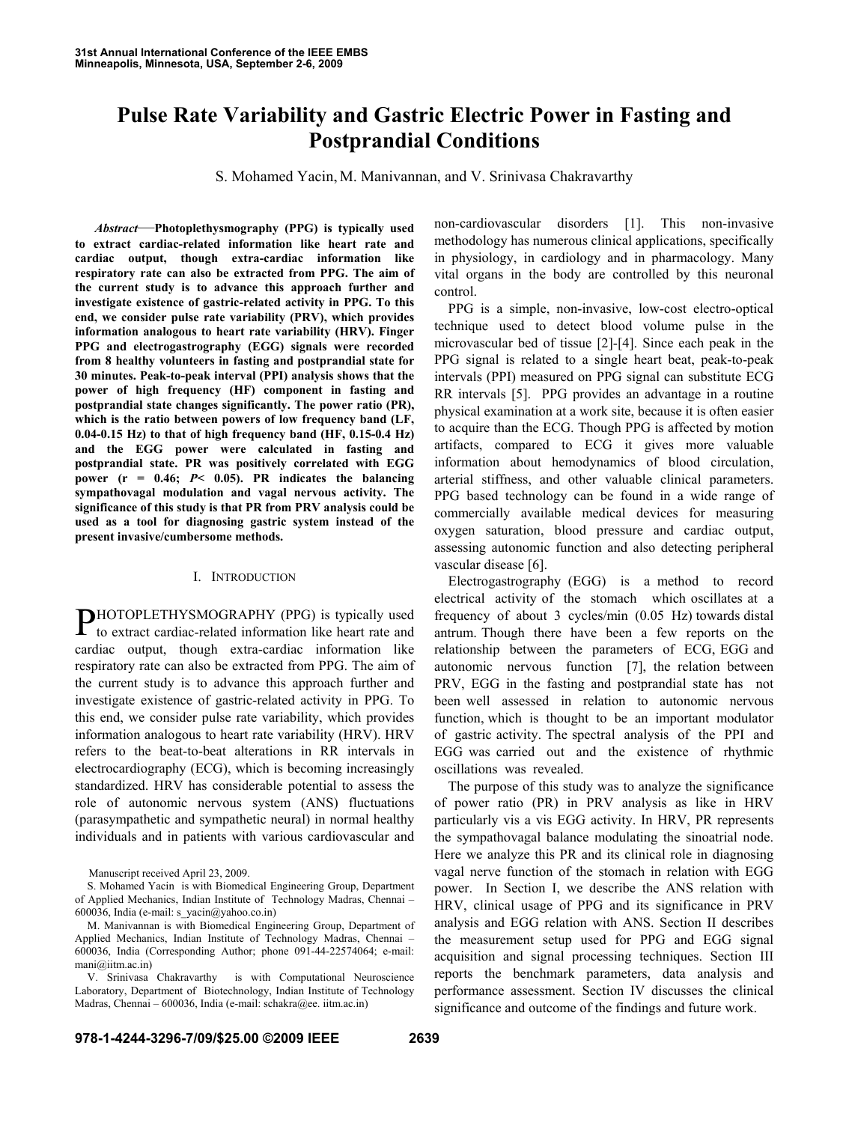# **Pulse Rate Variability and Gastric Electric Power in Fasting and Postprandial Conditions**

S. Mohamed Yacin, M. Manivannan, and V. Srinivasa Chakravarthy

*Abstract*—**Photoplethysmography (PPG) is typically used to extract cardiac-related information like heart rate and cardiac output, though extra-cardiac information like respiratory rate can also be extracted from PPG. The aim of the current study is to advance this approach further and investigate existence of gastric-related activity in PPG. To this end, we consider pulse rate variability (PRV), which provides information analogous to heart rate variability (HRV). Finger PPG and electrogastrography (EGG) signals were recorded from 8 healthy volunteers in fasting and postprandial state for 30 minutes. Peak-to-peak interval (PPI) analysis shows that the power of high frequency (HF) component in fasting and postprandial state changes significantly. The power ratio (PR), which is the ratio between powers of low frequency band (LF, 0.04-0.15 Hz) to that of high frequency band (HF, 0.15-0.4 Hz) and the EGG power were calculated in fasting and postprandial state. PR was positively correlated with EGG power (r = 0.46;** *P***< 0.05). PR indicates the balancing sympathovagal modulation and vagal nervous activity. The significance of this study is that PR from PRV analysis could be used as a tool for diagnosing gastric system instead of the present invasive/cumbersome methods.**

## I. INTRODUCTION

HOTOPLETHYSMOGRAPHY (PPG) is typically used PHOTOPLETHYSMOGRAPHY (PPG) is typically used<br>to extract cardiac-related information like heart rate and cardiac output, though extra-cardiac information like respiratory rate can also be extracted from PPG. The aim of the current study is to advance this approach further and investigate existence of gastric-related activity in PPG. To this end, we consider pulse rate variability, which provides information analogous to heart rate variability (HRV). HRV refers to the beat-to-beat alterations in RR intervals in electrocardiography (ECG), which is becoming increasingly standardized. HRV has considerable potential to assess the role of autonomic nervous system (ANS) fluctuations (parasympathetic and sympathetic neural) in normal healthy individuals and in patients with various cardiovascular and

Manuscript received April 23, 2009.

S. Mohamed Yacin is with Biomedical Engineering Group, Department of Applied Mechanics, Indian Institute of Technology Madras, Chennai – 600036, India (e-mail: s\_yacin@yahoo.co.in)

non-cardiovascular disorders [1]. This non-invasive methodology has numerous clinical applications, specifically in physiology, in cardiology and in pharmacology. Many vital organs in the body are controlled by this neuronal control.

PPG is a simple, non-invasive, low-cost electro-optical technique used to detect blood volume pulse in the microvascular bed of tissue [2]-[4]. Since each peak in the PPG signal is related to a single heart beat, peak-to-peak intervals (PPI) measured on PPG signal can substitute ECG RR intervals [5]. PPG provides an advantage in a routine physical examination at a work site, because it is often easier to acquire than the ECG. Though PPG is affected by motion artifacts, compared to ECG it gives more valuable information about hemodynamics of blood circulation, arterial stiffness, and other valuable clinical parameters. PPG based technology can be found in a wide range of commercially available medical devices for measuring oxygen saturation, blood pressure and cardiac output, assessing autonomic function and also detecting peripheral vascular disease [6].

Electrogastrography (EGG) is a method to record electrical activity of the stomach which oscillates at a frequency of about 3 cycles/min (0.05 Hz) towards distal antrum. Though there have been a few reports on the relationship between the parameters of ECG, EGG and autonomic nervous function [7], the relation between PRV, EGG in the fasting and postprandial state has not been well assessed in relation to autonomic nervous function, which is thought to be an important modulator of gastric activity. The spectral analysis of the PPI and EGG was carried out and the existence of rhythmic oscillations was revealed.

The purpose of this study was to analyze the significance of power ratio (PR) in PRV analysis as like in HRV particularly vis a vis EGG activity. In HRV, PR represents the sympathovagal balance modulating the sinoatrial node. Here we analyze this PR and its clinical role in diagnosing vagal nerve function of the stomach in relation with EGG power. In Section I, we describe the ANS relation with HRV, clinical usage of PPG and its significance in PRV analysis and EGG relation with ANS. Section II describes the measurement setup used for PPG and EGG signal acquisition and signal processing techniques. Section III reports the benchmark parameters, data analysis and performance assessment. Section IV discusses the clinical significance and outcome of the findings and future work.

M. Manivannan is with Biomedical Engineering Group, Department of Applied Mechanics, Indian Institute of Technology Madras, Chennai – 600036, India (Corresponding Author; phone 091-44-22574064; e-mail: mani@iitm.ac.in)

V. Srinivasa Chakravarthy is with Computational Neuroscience Laboratory, Department of Biotechnology, Indian Institute of Technology Madras, Chennai – 600036, India (e-mail: schakra@ee. iitm.ac.in)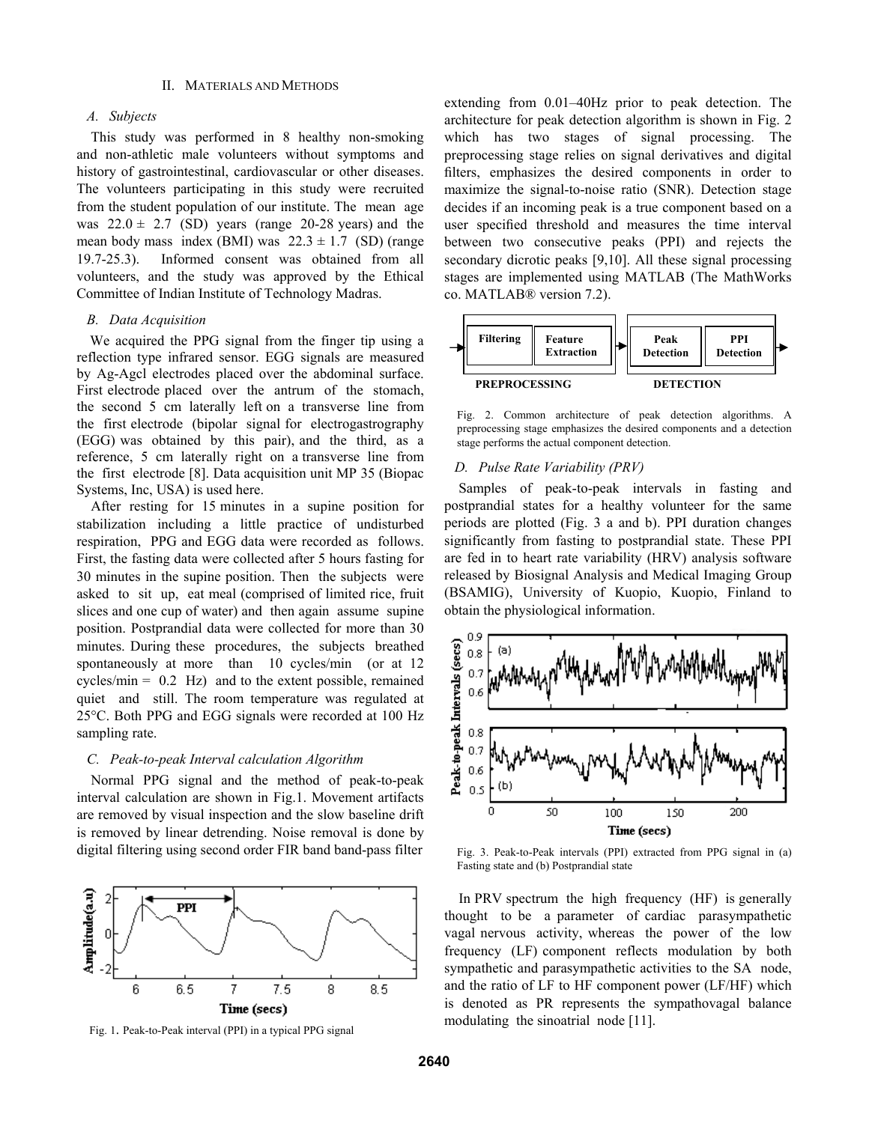## II. MATERIALS AND METHODS

# *A. Subjects*

This study was performed in 8 healthy non-smoking and non-athletic male volunteers without symptoms and history of gastrointestinal, cardiovascular or other diseases. The volunteers participating in this study were recruited from the student population of our institute. The mean age was  $22.0 \pm 2.7$  (SD) years (range 20-28 years) and the mean body mass index (BMI) was  $22.3 \pm 1.7$  (SD) (range 19.7-25.3). Informed consent was obtained from all volunteers, and the study was approved by the Ethical Committee of Indian Institute of Technology Madras.

## *B. Data Acquisition*

We acquired the PPG signal from the finger tip using a reflection type infrared sensor. EGG signals are measured by Ag-Agcl electrodes placed over the abdominal surface. First electrode placed over the antrum of the stomach, the second 5 cm laterally left on a transverse line from the first electrode (bipolar signal for electrogastrography (EGG) was obtained by this pair), and the third, as a reference, 5 cm laterally right on a transverse line from the first electrode [8]. Data acquisition unit MP 35 (Biopac Systems, Inc, USA) is used here.

After resting for 15 minutes in a supine position for stabilization including a little practice of undisturbed respiration, PPG and EGG data were recorded as follows. First, the fasting data were collected after 5 hours fasting for 30 minutes in the supine position. Then the subjects were asked to sit up, eat meal (comprised of limited rice, fruit slices and one cup of water) and then again assume supine position. Postprandial data were collected for more than 30 minutes. During these procedures, the subjects breathed spontaneously at more than 10 cycles/min (or at 12 cycles/min  $= 0.2$  Hz) and to the extent possible, remained quiet and still. The room temperature was regulated at 25°C. Both PPG and EGG signals were recorded at 100 Hz sampling rate.

## *C. Peak-to-peak Interval calculation Algorithm*

Normal PPG signal and the method of peak-to-peak interval calculation are shown in Fig.1. Movement artifacts are removed by visual inspection and the slow baseline drift is removed by linear detrending. Noise removal is done by digital filtering using second order FIR band band-pass filter



Fig. 1. Peak-to-Peak interval (PPI) in a typical PPG signal

extending from 0.01–40Hz prior to peak detection. The architecture for peak detection algorithm is shown in Fig. 2 which has two stages of signal processing. The preprocessing stage relies on signal derivatives and digital filters, emphasizes the desired components in order to maximize the signal-to-noise ratio (SNR). Detection stage decides if an incoming peak is a true component based on a user specified threshold and measures the time interval between two consecutive peaks (PPI) and rejects the secondary dicrotic peaks [9,10]. All these signal processing stages are implemented using MATLAB (The MathWorks co. MATLAB® version 7.2).



Fig. 2. Common architecture of peak detection algorithms. A preprocessing stage emphasizes the desired components and a detection stage performs the actual component detection.

## *D. Pulse Rate Variability (PRV)*

Samples of peak-to-peak intervals in fasting and postprandial states for a healthy volunteer for the same periods are plotted (Fig. 3 a and b). PPI duration changes significantly from fasting to postprandial state. These PPI are fed in to heart rate variability (HRV) analysis software released by Biosignal Analysis and Medical Imaging Group (BSAMIG), University of Kuopio, Kuopio, Finland to obtain the physiological information.



Fig. 3. Peak-to-Peak intervals (PPI) extracted from PPG signal in (a) Fasting state and (b) Postprandial state

In PRV spectrum the high frequency (HF) is generally thought to be a parameter of cardiac parasympathetic vagal nervous activity, whereas the power of the low frequency (LF) component reflects modulation by both sympathetic and parasympathetic activities to the SA node, and the ratio of LF to HF component power (LF/HF) which is denoted as PR represents the sympathovagal balance modulating the sinoatrial node [11].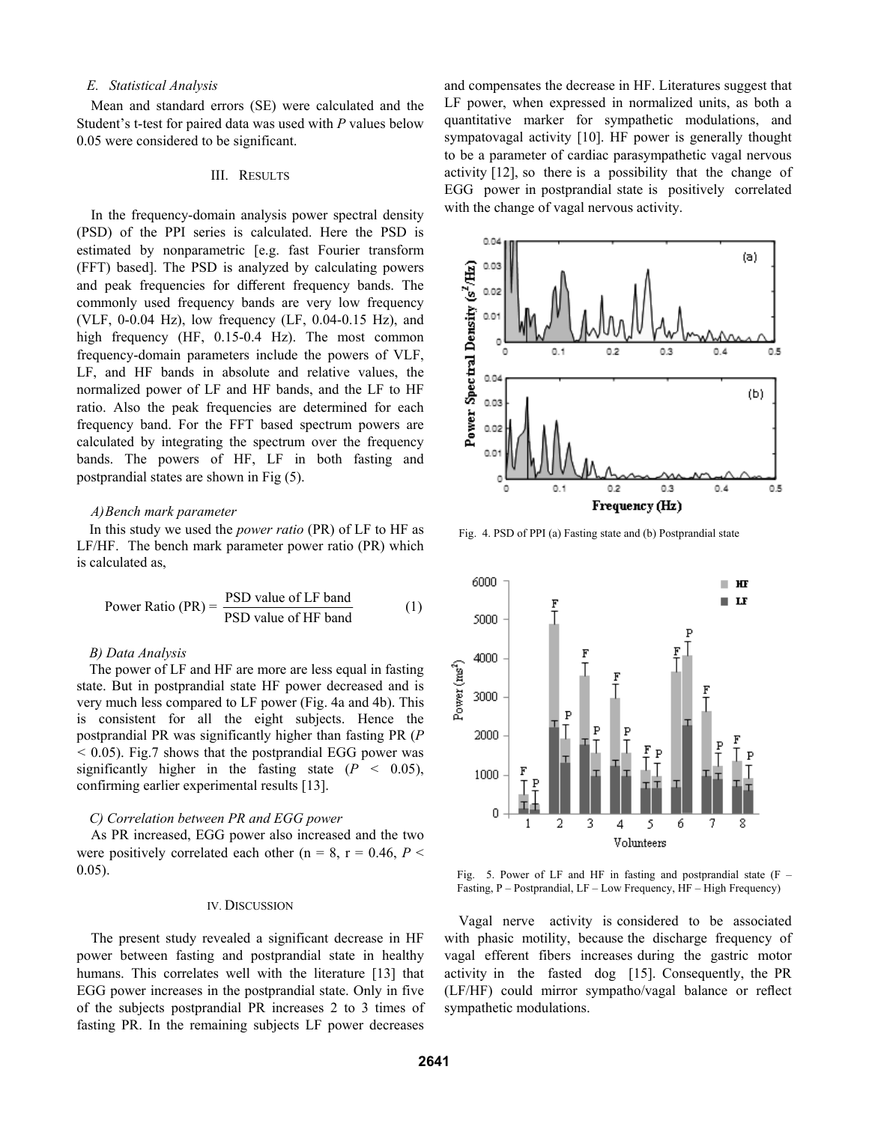## *E. Statistical Analysis*

Mean and standard errors (SE) were calculated and the Student's t-test for paired data was used with *P* values below 0.05 were considered to be significant.

### III. RESULTS

In the frequency-domain analysis power spectral density (PSD) of the PPI series is calculated. Here the PSD is estimated by nonparametric [e.g. fast Fourier transform (FFT) based]. The PSD is analyzed by calculating powers and peak frequencies for different frequency bands. The commonly used frequency bands are very low frequency (VLF, 0-0.04 Hz), low frequency (LF, 0.04-0.15 Hz), and high frequency (HF, 0.15-0.4 Hz). The most common frequency-domain parameters include the powers of VLF, LF, and HF bands in absolute and relative values, the normalized power of LF and HF bands, and the LF to HF ratio. Also the peak frequencies are determined for each frequency band. For the FFT based spectrum powers are calculated by integrating the spectrum over the frequency bands. The powers of HF, LF in both fasting and postprandial states are shown in Fig (5).

## *A)Bench mark parameter*

In this study we used the *power ratio* (PR) of LF to HF as LF/HF. The bench mark parameter power ratio (PR) which is calculated as,

Power Ratio (PR) = 
$$
\frac{PSD value of LF band}{PSD value of HF band}
$$
 (1)

## *B) Data Analysis*

The power of LF and HF are more are less equal in fasting state. But in postprandial state HF power decreased and is very much less compared to LF power (Fig. 4a and 4b). This is consistent for all the eight subjects. Hence the postprandial PR was significantly higher than fasting PR (*P <* 0.05). Fig.7 shows that the postprandial EGG power was significantly higher in the fasting state  $(P < 0.05)$ , confirming earlier experimental results [13].

#### *C) Correlation between PR and EGG power*

As PR increased, EGG power also increased and the two were positively correlated each other ( $n = 8$ ,  $r = 0.46$ ,  $P \le$ 0.05).

#### IV. DISCUSSION

The present study revealed a significant decrease in HF power between fasting and postprandial state in healthy humans. This correlates well with the literature [13] that EGG power increases in the postprandial state. Only in five of the subjects postprandial PR increases 2 to 3 times of fasting PR. In the remaining subjects LF power decreases

and compensates the decrease in HF. Literatures suggest that LF power, when expressed in normalized units, as both a quantitative marker for sympathetic modulations, and sympatovagal activity [10]. HF power is generally thought to be a parameter of cardiac parasympathetic vagal nervous activity [12], so there is a possibility that the change of EGG power in postprandial state is positively correlated with the change of vagal nervous activity.



Fig. 4. PSD of PPI (a) Fasting state and (b) Postprandial state



Fig. 5. Power of LF and HF in fasting and postprandial state  $(F -$ Fasting, P – Postprandial, LF – Low Frequency, HF – High Frequency)

Vagal nerve activity is considered to be associated with phasic motility, because the discharge frequency of vagal efferent fibers increases during the gastric motor activity in the fasted dog [15]. Consequently, the PR (LF/HF) could mirror sympatho/vagal balance or reflect sympathetic modulations.